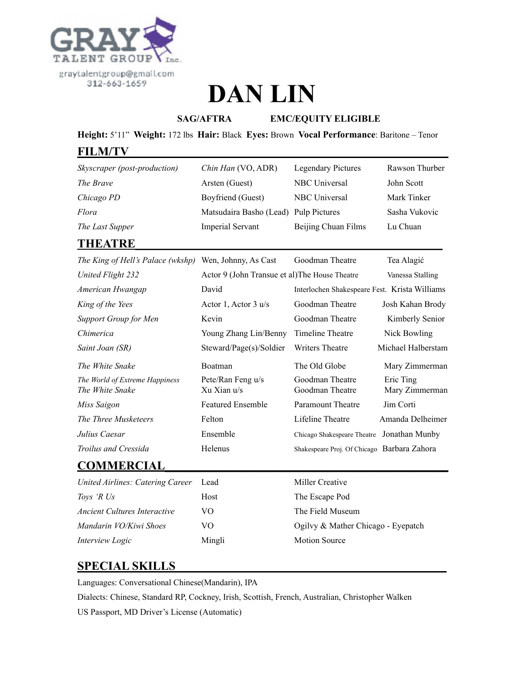

# **DAN LIN**

**SAG/AFTRA EMC/EQUITY ELIGIBLE** 

**Height:** 5'11" **Weight:** 172 lbs **Hair:** Black **Eyes:** Brown **Vocal Performance**: Baritone – Tenor

#### **FILM/TV\_\_\_\_\_\_\_\_\_\_\_\_\_\_\_\_\_\_\_\_\_\_\_\_\_\_\_\_\_\_\_\_\_\_\_\_\_\_\_\_\_\_\_\_\_\_\_\_\_\_\_\_\_**

| Chin Han (VO, ADR)      | <b>Legendary Pictures</b> | Rawson Thurber                        |
|-------------------------|---------------------------|---------------------------------------|
| Arsten (Guest)          | NBC Universal             | John Scott                            |
| Boyfriend (Guest)       | NBC Universal             | Mark Tinker                           |
|                         |                           | Sasha Vukovic                         |
| <b>Imperial Servant</b> | Beijing Chuan Films       | Lu Chuan                              |
|                         |                           | Matsudaira Basho (Lead) Pulp Pictures |

## **THEATRE**\_\_\_\_\_\_\_\_\_\_\_\_\_\_\_\_\_\_\_\_\_\_\_\_\_\_\_\_\_\_\_\_\_\_\_\_\_\_\_\_\_\_\_\_\_\_\_\_\_\_\_

| <i>The King of Hell's Palace (wkshp)</i> Wen, Johnny, As Cast |                                                | Goodman Theatre                               | Tea Alagić                  |
|---------------------------------------------------------------|------------------------------------------------|-----------------------------------------------|-----------------------------|
| United Flight 232                                             | Actor 9 (John Transue et al) The House Theatre |                                               | Vanessa Stalling            |
| American Hwangap                                              | David                                          | Interlochen Shakespeare Fest. Krista Williams |                             |
| King of the Yees                                              | Actor 1, Actor $3 u/s$                         | Goodman Theatre                               | Josh Kahan Brody            |
| <b>Support Group for Men</b>                                  | Kevin                                          | Goodman Theatre                               | Kimberly Senior             |
| Chimerica                                                     | Young Zhang Lin/Benny                          | Timeline Theatre                              | Nick Bowling                |
| Saint Joan (SR)                                               | Steward/Page(s)/Soldier                        | Writers Theatre                               | Michael Halberstam          |
| The White Snake                                               | Boatman                                        | The Old Globe                                 | Mary Zimmerman              |
| The World of Extreme Happiness<br>The White Snake             | Pete/Ran Feng u/s<br>Xu Xian u/s               | Goodman Theatre<br>Goodman Theatre            | Eric Ting<br>Mary Zimmerman |
| Miss Saigon                                                   | <b>Featured Ensemble</b>                       | Paramount Theatre                             | Jim Corti                   |
| The Three Musketeers                                          | Felton                                         | Lifeline Theatre                              | Amanda Delheimer            |
| Julius Caesar                                                 | Ensemble                                       | Chicago Shakespeare Theatre Jonathan Munby    |                             |
| Troilus and Cressida                                          | <b>Helenus</b>                                 | Shakespeare Proj. Of Chicago Barbara Zahora   |                             |
| COMMERCIAI                                                    |                                                |                                               |                             |

#### **COMMERCIAL\_\_\_\_\_\_\_\_\_\_\_\_\_\_\_\_\_\_\_\_\_\_\_\_\_\_\_\_\_\_\_\_\_\_\_\_\_\_\_\_\_\_\_\_\_\_\_**

| United Airlines: Catering Career    | Lead   | Miller Creative                    |
|-------------------------------------|--------|------------------------------------|
| Toys 'R Us                          | Host   | The Escape Pod                     |
| <i>Ancient Cultures Interactive</i> | VO     | The Field Museum                   |
| Mandarin VO/Kiwi Shoes              | VO     | Ogilvy & Mather Chicago - Eyepatch |
| Interview Logic                     | Mingli | <b>Motion Source</b>               |

### **SPECIAL SKILLS\_\_\_\_\_\_\_\_\_\_\_\_\_\_\_\_\_\_\_\_\_\_\_\_\_\_\_\_\_\_\_\_\_\_\_\_\_\_\_\_\_\_\_\_\_**

Languages: Conversational Chinese(Mandarin), IPA

Dialects: Chinese, Standard RP, Cockney, Irish, Scottish, French, Australian, Christopher Walken US Passport, MD Driver's License (Automatic)